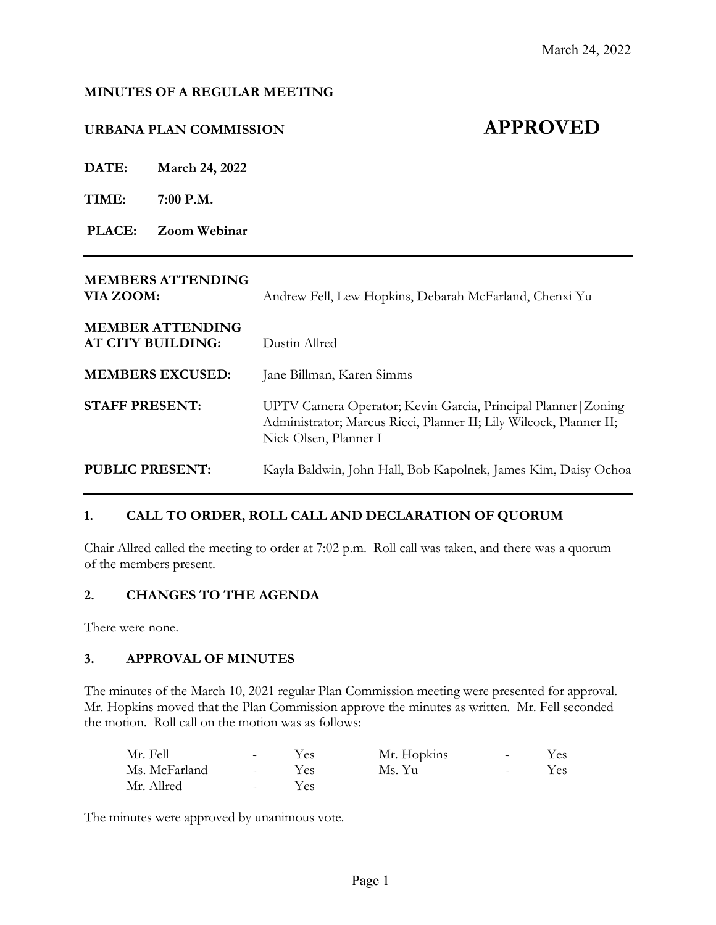#### **MINUTES OF A REGULAR MEETING**

# **URBANA PLAN COMMISSION APPROVED**

**DATE: March 24, 2022**

**TIME: 7:00 P.M.**

**PLACE: Zoom Webinar**

# **MEMBERS ATTENDING**

**VIA ZOOM:** Andrew Fell, Lew Hopkins, Debarah McFarland, Chenxi Yu

| <b>MEMBER ATTENDING</b><br>AT CITY BUILDING: | Dustin Allred                                                                                                                                                 |
|----------------------------------------------|---------------------------------------------------------------------------------------------------------------------------------------------------------------|
| <b>MEMBERS EXCUSED:</b>                      | Jane Billman, Karen Simms                                                                                                                                     |
| <b>STAFF PRESENT:</b>                        | UPTV Camera Operator; Kevin Garcia, Principal Planner   Zoning<br>Administrator; Marcus Ricci, Planner II; Lily Wilcock, Planner II;<br>Nick Olsen, Planner I |
| <b>PUBLIC PRESENT:</b>                       | Kayla Baldwin, John Hall, Bob Kapolnek, James Kim, Daisy Ochoa                                                                                                |

# **1. CALL TO ORDER, ROLL CALL AND DECLARATION OF QUORUM**

Chair Allred called the meeting to order at 7:02 p.m. Roll call was taken, and there was a quorum of the members present.

#### **2. CHANGES TO THE AGENDA**

There were none.

#### **3. APPROVAL OF MINUTES**

The minutes of the March 10, 2021 regular Plan Commission meeting were presented for approval. Mr. Hopkins moved that the Plan Commission approve the minutes as written. Mr. Fell seconded the motion. Roll call on the motion was as follows:

| Mr. Fell      | $\sim$ 100 $\sim$        | Yes: | Mr. Hopkins | $\sim$ | Yes- |
|---------------|--------------------------|------|-------------|--------|------|
| Ms. McFarland | $\sim$ 100 $\mu$         | Yes  | Ms. Yu      | $\sim$ | Yes- |
| Mr. Allred    | <b>Contract Contract</b> | Yes. |             |        |      |

The minutes were approved by unanimous vote.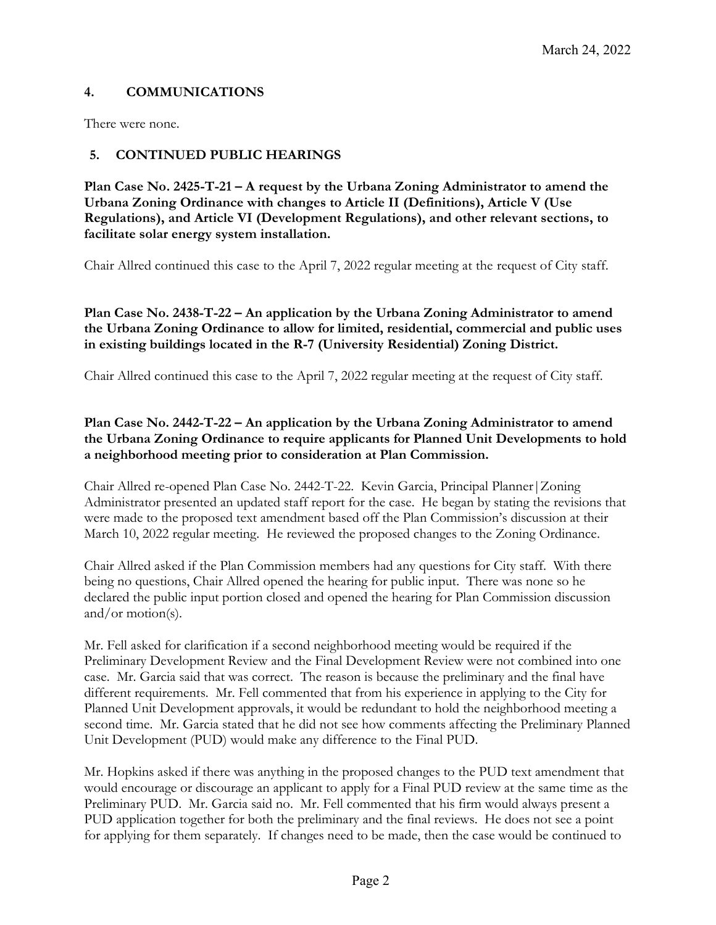# **4. COMMUNICATIONS**

There were none.

# **5. CONTINUED PUBLIC HEARINGS**

**Plan Case No. 2425-T-21 – A request by the Urbana Zoning Administrator to amend the Urbana Zoning Ordinance with changes to Article II (Definitions), Article V (Use Regulations), and Article VI (Development Regulations), and other relevant sections, to facilitate solar energy system installation.**

Chair Allred continued this case to the April 7, 2022 regular meeting at the request of City staff.

**Plan Case No. 2438-T-22 – An application by the Urbana Zoning Administrator to amend the Urbana Zoning Ordinance to allow for limited, residential, commercial and public uses in existing buildings located in the R-7 (University Residential) Zoning District.**

Chair Allred continued this case to the April 7, 2022 regular meeting at the request of City staff.

# **Plan Case No. 2442-T-22 – An application by the Urbana Zoning Administrator to amend the Urbana Zoning Ordinance to require applicants for Planned Unit Developments to hold a neighborhood meeting prior to consideration at Plan Commission.**

Chair Allred re-opened Plan Case No. 2442-T-22. Kevin Garcia, Principal Planner|Zoning Administrator presented an updated staff report for the case. He began by stating the revisions that were made to the proposed text amendment based off the Plan Commission's discussion at their March 10, 2022 regular meeting. He reviewed the proposed changes to the Zoning Ordinance.

Chair Allred asked if the Plan Commission members had any questions for City staff. With there being no questions, Chair Allred opened the hearing for public input. There was none so he declared the public input portion closed and opened the hearing for Plan Commission discussion and/or motion(s).

Mr. Fell asked for clarification if a second neighborhood meeting would be required if the Preliminary Development Review and the Final Development Review were not combined into one case. Mr. Garcia said that was correct. The reason is because the preliminary and the final have different requirements. Mr. Fell commented that from his experience in applying to the City for Planned Unit Development approvals, it would be redundant to hold the neighborhood meeting a second time. Mr. Garcia stated that he did not see how comments affecting the Preliminary Planned Unit Development (PUD) would make any difference to the Final PUD.

Mr. Hopkins asked if there was anything in the proposed changes to the PUD text amendment that would encourage or discourage an applicant to apply for a Final PUD review at the same time as the Preliminary PUD. Mr. Garcia said no. Mr. Fell commented that his firm would always present a PUD application together for both the preliminary and the final reviews. He does not see a point for applying for them separately. If changes need to be made, then the case would be continued to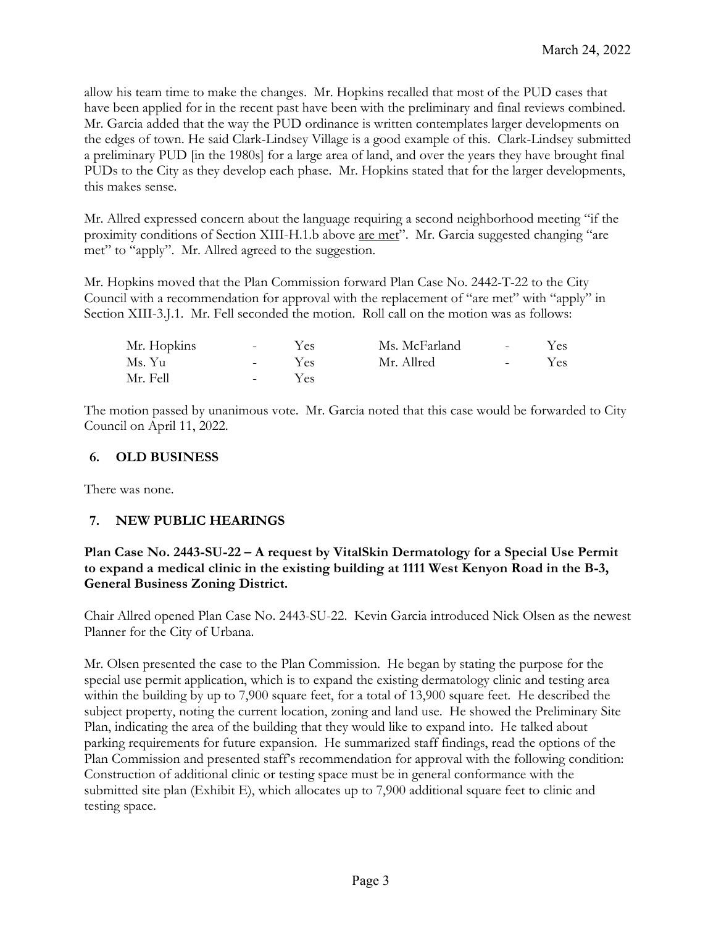allow his team time to make the changes. Mr. Hopkins recalled that most of the PUD cases that have been applied for in the recent past have been with the preliminary and final reviews combined. Mr. Garcia added that the way the PUD ordinance is written contemplates larger developments on the edges of town. He said Clark-Lindsey Village is a good example of this. Clark-Lindsey submitted a preliminary PUD [in the 1980s] for a large area of land, and over the years they have brought final PUDs to the City as they develop each phase. Mr. Hopkins stated that for the larger developments, this makes sense.

Mr. Allred expressed concern about the language requiring a second neighborhood meeting "if the proximity conditions of Section XIII-H.1.b above are met". Mr. Garcia suggested changing "are met" to "apply". Mr. Allred agreed to the suggestion.

Mr. Hopkins moved that the Plan Commission forward Plan Case No. 2442-T-22 to the City Council with a recommendation for approval with the replacement of "are met" with "apply" in Section XIII-3.J.1. Mr. Fell seconded the motion. Roll call on the motion was as follows:

| Mr. Hopkins | <b>Contract</b>   | Yes. | Ms. McFarland | and the state of the     | Yes |
|-------------|-------------------|------|---------------|--------------------------|-----|
| Ms. Yu      | $\sim$ 100 $\sim$ | Yes  | Mr. Allred    | <b>Contract Contract</b> | Yes |
| Mr. Fell    | $\sim$ 100 $\sim$ | Yes  |               |                          |     |

The motion passed by unanimous vote. Mr. Garcia noted that this case would be forwarded to City Council on April 11, 2022.

## **6. OLD BUSINESS**

There was none.

# **7. NEW PUBLIC HEARINGS**

## **Plan Case No. 2443-SU-22 – A request by VitalSkin Dermatology for a Special Use Permit to expand a medical clinic in the existing building at 1111 West Kenyon Road in the B-3, General Business Zoning District.**

Chair Allred opened Plan Case No. 2443-SU-22. Kevin Garcia introduced Nick Olsen as the newest Planner for the City of Urbana.

Mr. Olsen presented the case to the Plan Commission. He began by stating the purpose for the special use permit application, which is to expand the existing dermatology clinic and testing area within the building by up to 7,900 square feet, for a total of 13,900 square feet. He described the subject property, noting the current location, zoning and land use. He showed the Preliminary Site Plan, indicating the area of the building that they would like to expand into. He talked about parking requirements for future expansion. He summarized staff findings, read the options of the Plan Commission and presented staff's recommendation for approval with the following condition: Construction of additional clinic or testing space must be in general conformance with the submitted site plan (Exhibit E), which allocates up to 7,900 additional square feet to clinic and testing space.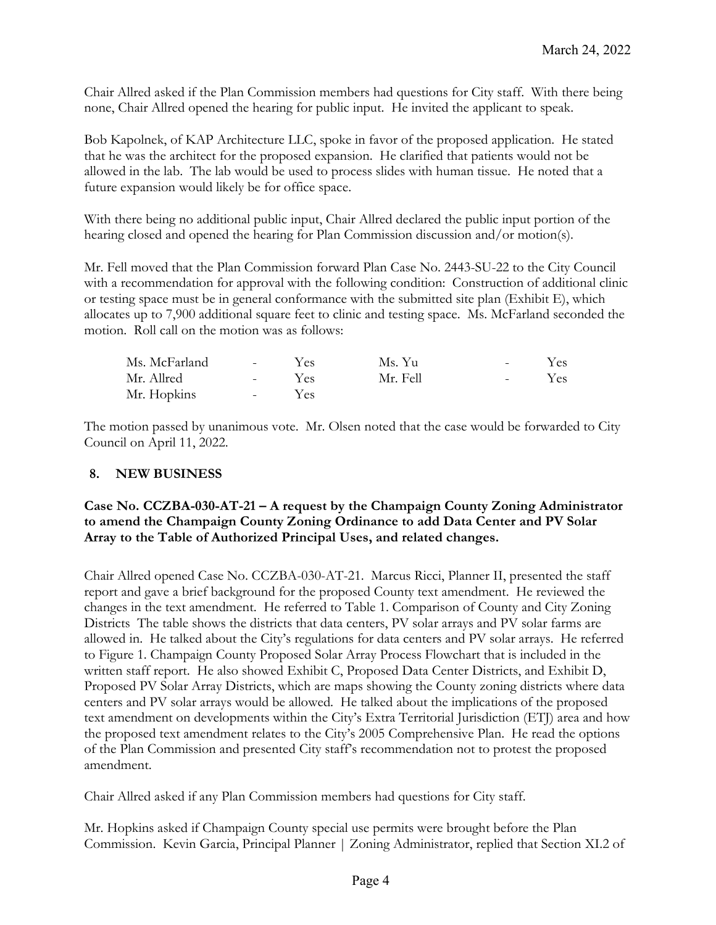Chair Allred asked if the Plan Commission members had questions for City staff. With there being none, Chair Allred opened the hearing for public input. He invited the applicant to speak.

Bob Kapolnek, of KAP Architecture LLC, spoke in favor of the proposed application. He stated that he was the architect for the proposed expansion. He clarified that patients would not be allowed in the lab. The lab would be used to process slides with human tissue. He noted that a future expansion would likely be for office space.

With there being no additional public input, Chair Allred declared the public input portion of the hearing closed and opened the hearing for Plan Commission discussion and/or motion(s).

Mr. Fell moved that the Plan Commission forward Plan Case No. 2443-SU-22 to the City Council with a recommendation for approval with the following condition: Construction of additional clinic or testing space must be in general conformance with the submitted site plan (Exhibit E), which allocates up to 7,900 additional square feet to clinic and testing space. Ms. McFarland seconded the motion. Roll call on the motion was as follows:

| Ms. McFarland | <b>Contract Contract</b> | Yes  | Ms. Yu   | $\sim$ 10 $\sim$  | Yes: |
|---------------|--------------------------|------|----------|-------------------|------|
| Mr. Allred    | <b>Service</b>           | Yes  | Mr. Fell | $\sim$ 100 $\sim$ | Yes. |
| Mr. Hopkins   | $\Delta \sim 10^{-10}$   | Yes. |          |                   |      |

The motion passed by unanimous vote. Mr. Olsen noted that the case would be forwarded to City Council on April 11, 2022.

# **8. NEW BUSINESS**

## **Case No. CCZBA-030-AT-21 – A request by the Champaign County Zoning Administrator to amend the Champaign County Zoning Ordinance to add Data Center and PV Solar Array to the Table of Authorized Principal Uses, and related changes.**

Chair Allred opened Case No. CCZBA-030-AT-21. Marcus Ricci, Planner II, presented the staff report and gave a brief background for the proposed County text amendment. He reviewed the changes in the text amendment. He referred to Table 1. Comparison of County and City Zoning Districts The table shows the districts that data centers, PV solar arrays and PV solar farms are allowed in. He talked about the City's regulations for data centers and PV solar arrays. He referred to Figure 1. Champaign County Proposed Solar Array Process Flowchart that is included in the written staff report. He also showed Exhibit C, Proposed Data Center Districts, and Exhibit D, Proposed PV Solar Array Districts, which are maps showing the County zoning districts where data centers and PV solar arrays would be allowed. He talked about the implications of the proposed text amendment on developments within the City's Extra Territorial Jurisdiction (ETJ) area and how the proposed text amendment relates to the City's 2005 Comprehensive Plan. He read the options of the Plan Commission and presented City staff's recommendation not to protest the proposed amendment.

Chair Allred asked if any Plan Commission members had questions for City staff.

Mr. Hopkins asked if Champaign County special use permits were brought before the Plan Commission. Kevin Garcia, Principal Planner | Zoning Administrator, replied that Section XI.2 of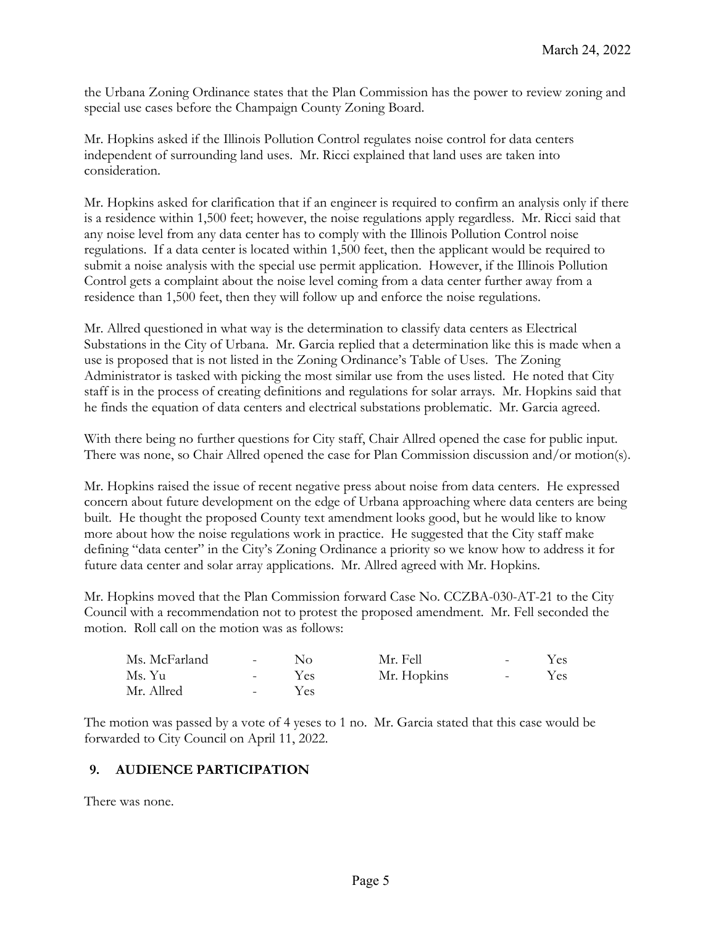the Urbana Zoning Ordinance states that the Plan Commission has the power to review zoning and special use cases before the Champaign County Zoning Board.

Mr. Hopkins asked if the Illinois Pollution Control regulates noise control for data centers independent of surrounding land uses. Mr. Ricci explained that land uses are taken into consideration.

Mr. Hopkins asked for clarification that if an engineer is required to confirm an analysis only if there is a residence within 1,500 feet; however, the noise regulations apply regardless. Mr. Ricci said that any noise level from any data center has to comply with the Illinois Pollution Control noise regulations. If a data center is located within 1,500 feet, then the applicant would be required to submit a noise analysis with the special use permit application. However, if the Illinois Pollution Control gets a complaint about the noise level coming from a data center further away from a residence than 1,500 feet, then they will follow up and enforce the noise regulations.

Mr. Allred questioned in what way is the determination to classify data centers as Electrical Substations in the City of Urbana. Mr. Garcia replied that a determination like this is made when a use is proposed that is not listed in the Zoning Ordinance's Table of Uses. The Zoning Administrator is tasked with picking the most similar use from the uses listed. He noted that City staff is in the process of creating definitions and regulations for solar arrays. Mr. Hopkins said that he finds the equation of data centers and electrical substations problematic. Mr. Garcia agreed.

With there being no further questions for City staff, Chair Allred opened the case for public input. There was none, so Chair Allred opened the case for Plan Commission discussion and/or motion(s).

Mr. Hopkins raised the issue of recent negative press about noise from data centers. He expressed concern about future development on the edge of Urbana approaching where data centers are being built. He thought the proposed County text amendment looks good, but he would like to know more about how the noise regulations work in practice. He suggested that the City staff make defining "data center" in the City's Zoning Ordinance a priority so we know how to address it for future data center and solar array applications. Mr. Allred agreed with Mr. Hopkins.

Mr. Hopkins moved that the Plan Commission forward Case No. CCZBA-030-AT-21 to the City Council with a recommendation not to protest the proposed amendment. Mr. Fell seconded the motion. Roll call on the motion was as follows:

| Ms. McFarland | $\sim 10^{-10}$   | Nο  | Mr. Fell    | $\sim$ 100 $\mu$ | Yes |
|---------------|-------------------|-----|-------------|------------------|-----|
| Ms. Yu        | $\sim 100$        | Yes | Mr. Hopkins | $\sim$ 100 $\mu$ | Yes |
| Mr. Allred    | $\sim$ 100 $\sim$ | Yes |             |                  |     |

The motion was passed by a vote of 4 yeses to 1 no. Mr. Garcia stated that this case would be forwarded to City Council on April 11, 2022.

# **9. AUDIENCE PARTICIPATION**

There was none.